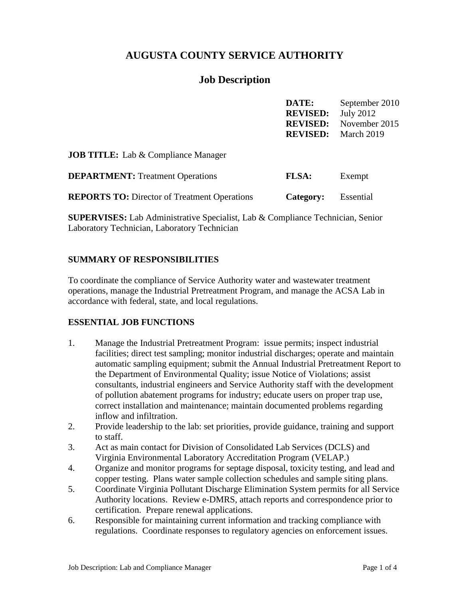# **AUGUSTA COUNTY SERVICE AUTHORITY**

# **Job Description**

|                                            | DATE:           | September 2010                |
|--------------------------------------------|-----------------|-------------------------------|
|                                            | <b>REVISED:</b> | July 2012                     |
|                                            |                 | <b>REVISED:</b> November 2015 |
|                                            |                 | <b>REVISED:</b> March 2019    |
| <b>JOB TITLE:</b> Lab & Compliance Manager |                 |                               |

| <b>DEPARTMENT:</b> Treatment Operations             | <b>FLSA:</b>               | Exempt |
|-----------------------------------------------------|----------------------------|--------|
| <b>REPORTS TO:</b> Director of Treatment Operations | <b>Category:</b> Essential |        |

**SUPERVISES:** Lab Administrative Specialist, Lab & Compliance Technician, Senior Laboratory Technician, Laboratory Technician

## **SUMMARY OF RESPONSIBILITIES**

To coordinate the compliance of Service Authority water and wastewater treatment operations, manage the Industrial Pretreatment Program, and manage the ACSA Lab in accordance with federal, state, and local regulations.

## **ESSENTIAL JOB FUNCTIONS**

- 1. Manage the Industrial Pretreatment Program: issue permits; inspect industrial facilities; direct test sampling; monitor industrial discharges; operate and maintain automatic sampling equipment; submit the Annual Industrial Pretreatment Report to the Department of Environmental Quality; issue Notice of Violations; assist consultants, industrial engineers and Service Authority staff with the development of pollution abatement programs for industry; educate users on proper trap use, correct installation and maintenance; maintain documented problems regarding inflow and infiltration.
- 2. Provide leadership to the lab: set priorities, provide guidance, training and support to staff.
- 3. Act as main contact for Division of Consolidated Lab Services (DCLS) and Virginia Environmental Laboratory Accreditation Program (VELAP.)
- 4. Organize and monitor programs for septage disposal, toxicity testing, and lead and copper testing. Plans water sample collection schedules and sample siting plans.
- 5. Coordinate Virginia Pollutant Discharge Elimination System permits for all Service Authority locations. Review e-DMRS, attach reports and correspondence prior to certification. Prepare renewal applications.
- 6. Responsible for maintaining current information and tracking compliance with regulations. Coordinate responses to regulatory agencies on enforcement issues.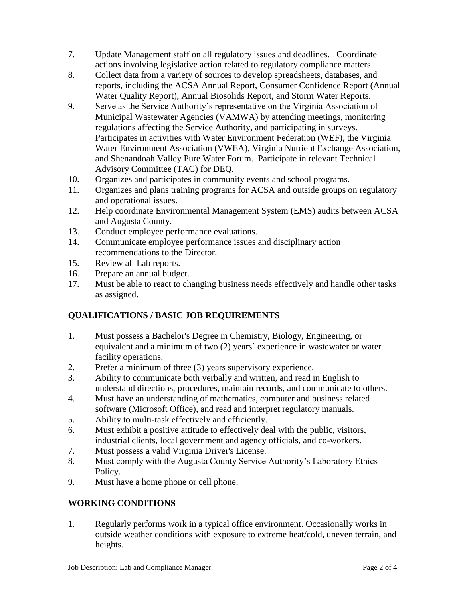- 7. Update Management staff on all regulatory issues and deadlines. Coordinate actions involving legislative action related to regulatory compliance matters.
- 8. Collect data from a variety of sources to develop spreadsheets, databases, and reports, including the ACSA Annual Report, Consumer Confidence Report (Annual Water Quality Report), Annual Biosolids Report, and Storm Water Reports.
- 9. Serve as the Service Authority's representative on the Virginia Association of Municipal Wastewater Agencies (VAMWA) by attending meetings, monitoring regulations affecting the Service Authority, and participating in surveys. Participates in activities with Water Environment Federation (WEF), the Virginia Water Environment Association (VWEA), Virginia Nutrient Exchange Association, and Shenandoah Valley Pure Water Forum. Participate in relevant Technical Advisory Committee (TAC) for DEQ.
- 10. Organizes and participates in community events and school programs.
- 11. Organizes and plans training programs for ACSA and outside groups on regulatory and operational issues.
- 12. Help coordinate Environmental Management System (EMS) audits between ACSA and Augusta County.
- 13. Conduct employee performance evaluations.
- 14. Communicate employee performance issues and disciplinary action recommendations to the Director.
- 15. Review all Lab reports.
- 16. Prepare an annual budget.
- 17. Must be able to react to changing business needs effectively and handle other tasks as assigned.

## **QUALIFICATIONS / BASIC JOB REQUIREMENTS**

- 1. Must possess a Bachelor's Degree in Chemistry, Biology, Engineering, or equivalent and a minimum of two (2) years' experience in wastewater or water facility operations.
- 2. Prefer a minimum of three (3) years supervisory experience.
- 3. Ability to communicate both verbally and written, and read in English to understand directions, procedures, maintain records, and communicate to others.
- 4. Must have an understanding of mathematics, computer and business related software (Microsoft Office), and read and interpret regulatory manuals.
- 5. Ability to multi-task effectively and efficiently.
- 6. Must exhibit a positive attitude to effectively deal with the public, visitors, industrial clients, local government and agency officials, and co-workers.
- 7. Must possess a valid Virginia Driver's License.
- 8. Must comply with the Augusta County Service Authority's Laboratory Ethics Policy.
- 9. Must have a home phone or cell phone.

## **WORKING CONDITIONS**

1. Regularly performs work in a typical office environment. Occasionally works in outside weather conditions with exposure to extreme heat/cold, uneven terrain, and heights.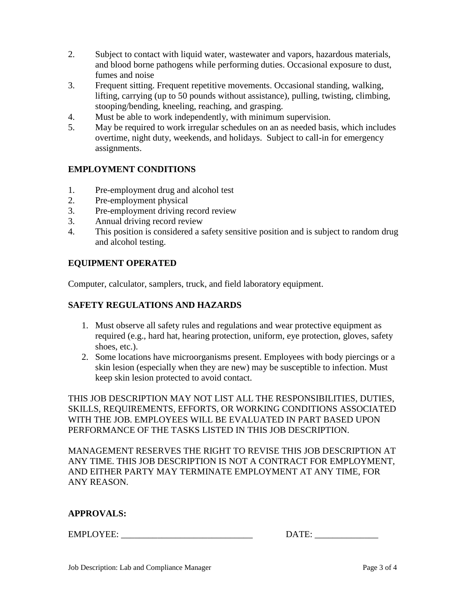- 2. Subject to contact with liquid water, wastewater and vapors, hazardous materials, and blood borne pathogens while performing duties. Occasional exposure to dust, fumes and noise
- 3. Frequent sitting. Frequent repetitive movements. Occasional standing, walking, lifting, carrying (up to 50 pounds without assistance), pulling, twisting, climbing, stooping/bending, kneeling, reaching, and grasping.
- 4. Must be able to work independently, with minimum supervision.
- 5. May be required to work irregular schedules on an as needed basis, which includes overtime, night duty, weekends, and holidays. Subject to call-in for emergency assignments.

## **EMPLOYMENT CONDITIONS**

- 1. Pre-employment drug and alcohol test
- 2. Pre-employment physical
- 3. Pre-employment driving record review
- 3. Annual driving record review
- 4. This position is considered a safety sensitive position and is subject to random drug and alcohol testing.

## **EQUIPMENT OPERATED**

Computer, calculator, samplers, truck, and field laboratory equipment.

#### **SAFETY REGULATIONS AND HAZARDS**

- 1. Must observe all safety rules and regulations and wear protective equipment as required (e.g., hard hat, hearing protection, uniform, eye protection, gloves, safety shoes, etc.).
- 2. Some locations have microorganisms present. Employees with body piercings or a skin lesion (especially when they are new) may be susceptible to infection. Must keep skin lesion protected to avoid contact.

THIS JOB DESCRIPTION MAY NOT LIST ALL THE RESPONSIBILITIES, DUTIES, SKILLS, REQUIREMENTS, EFFORTS, OR WORKING CONDITIONS ASSOCIATED WITH THE JOB. EMPLOYEES WILL BE EVALUATED IN PART BASED UPON PERFORMANCE OF THE TASKS LISTED IN THIS JOB DESCRIPTION.

MANAGEMENT RESERVES THE RIGHT TO REVISE THIS JOB DESCRIPTION AT ANY TIME. THIS JOB DESCRIPTION IS NOT A CONTRACT FOR EMPLOYMENT, AND EITHER PARTY MAY TERMINATE EMPLOYMENT AT ANY TIME, FOR ANY REASON.

#### **APPROVALS:**

EMPLOYEE:  $\blacksquare$